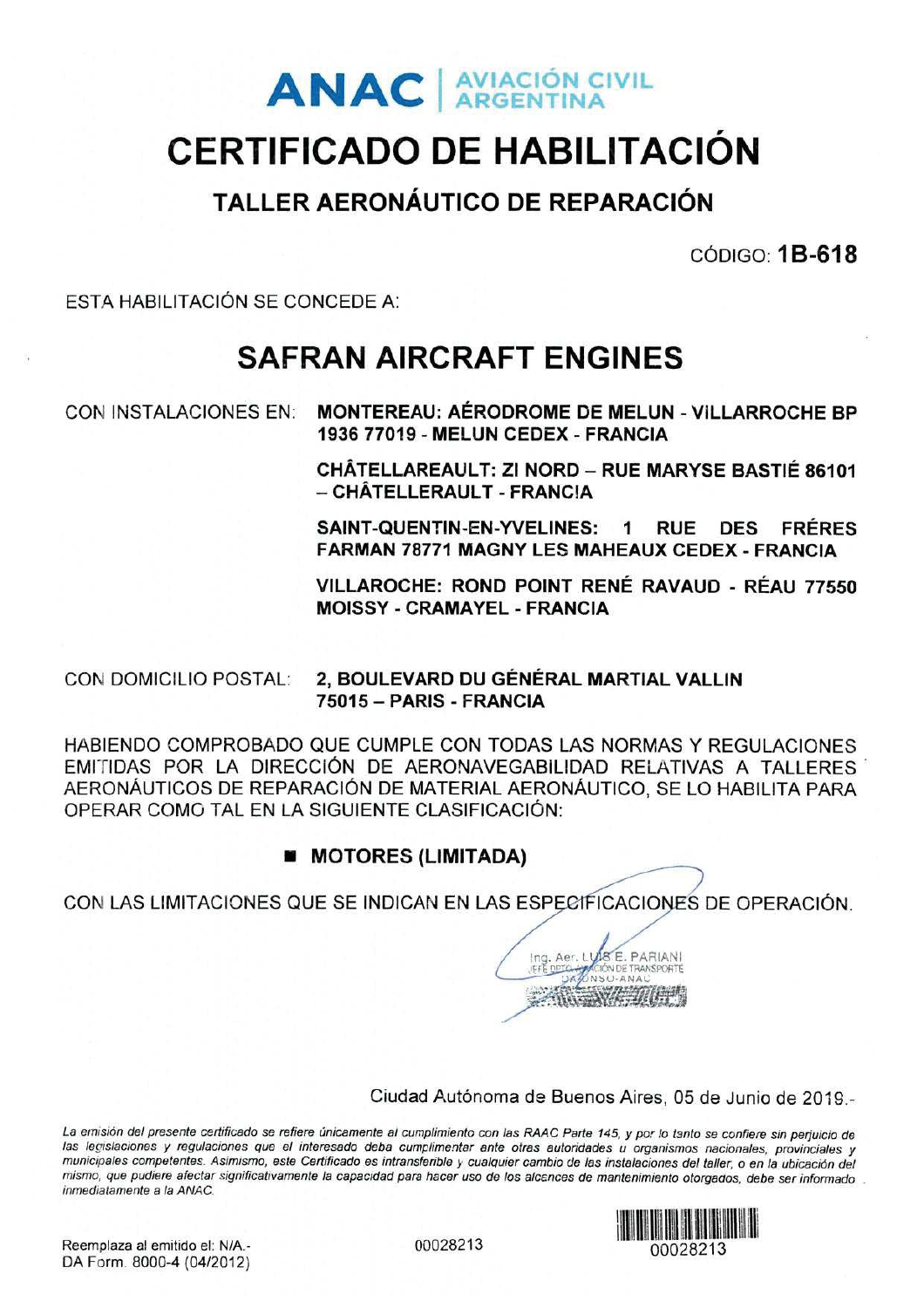# **ANAC** AVIACIÓN CIVIL

# **CERTIFICADO DE HABILITACIÓN**

### TALLER AERONÁUTICO DE REPARACIÓN

 $CODIGO: 1B-618$ 

ESTA HABILITACIÓN SE CONCEDE A:

# **SAFRAN AIRCRAFT ENGINES**

**CON INSTALACIONES EN:** 

**MONTEREAU: AÉRODROME DE MELUN - VILLARROCHE BP** 1936 77019 - MELUN CEDEX - FRANCIA

CHÂTELLAREAULT: ZI NORD - RUE MARYSE BASTIÉ 86101 - CHÂTELLERAULT - FRANCIA

SAINT-QUENTIN-EN-YVELINES:  $\mathbf{1}$ **RUE FRÉRES DES FARMAN 78771 MAGNY LES MAHEAUX CEDEX - FRANCIA** 

VILLAROCHE: ROND POINT RENÉ RAVAUD - RÉAU 77550 **MOISSY - CRAMAYEL - FRANCIA** 

2. BOULEVARD DU GÉNÉRAL MARTIAL VALLIN **CON DOMICILIO POSTAL:** 75015 - PARIS - FRANCIA

HABIENDO COMPROBADO QUE CUMPLE CON TODAS LAS NORMAS Y REGULACIONES EMITIDAS POR LA DIRECCIÓN DE AERONAVEGABILIDAD RELATIVAS A TALLERES AERONÁUTICOS DE REPARACIÓN DE MATERIAL AERONÁUTICO, SE LO HABILITA PARA OPERAR COMO TAL EN LA SIGUIENTE CLASIFICACIÓN:

### **MI MOTORES (LIMITADA)**

CON LAS LIMITACIONES QUE SE INDICAN EN LAS ESPECIFICACIONES DE OPERACIÓN.



Ciudad Autónoma de Buenos Aires, 05 de Junio de 2019 -

La emisión del presente certificado se refiere únicamente al cumplimiento con las RAAC Parte 145, y por lo tanto se confiere sin perjuicio de las legislaciones y regulaciones que el interesado deba cumplimentar ante otras autoridades u organismos nacionales, provinciales y municipales competentes. Asimismo, este Certificado es intransferible y cualquier cambio de las instalaciones del taller, o en la ubicación del mismo, que pudiere afectar significativamente la capacidad para hacer uso de los alcances de mantenimiento otorgados, debe ser informado. inmediatamente a la ANAC.



Reemplaza al emitido el: N/A.-DA Form. 8000-4 (04/2012) 00028213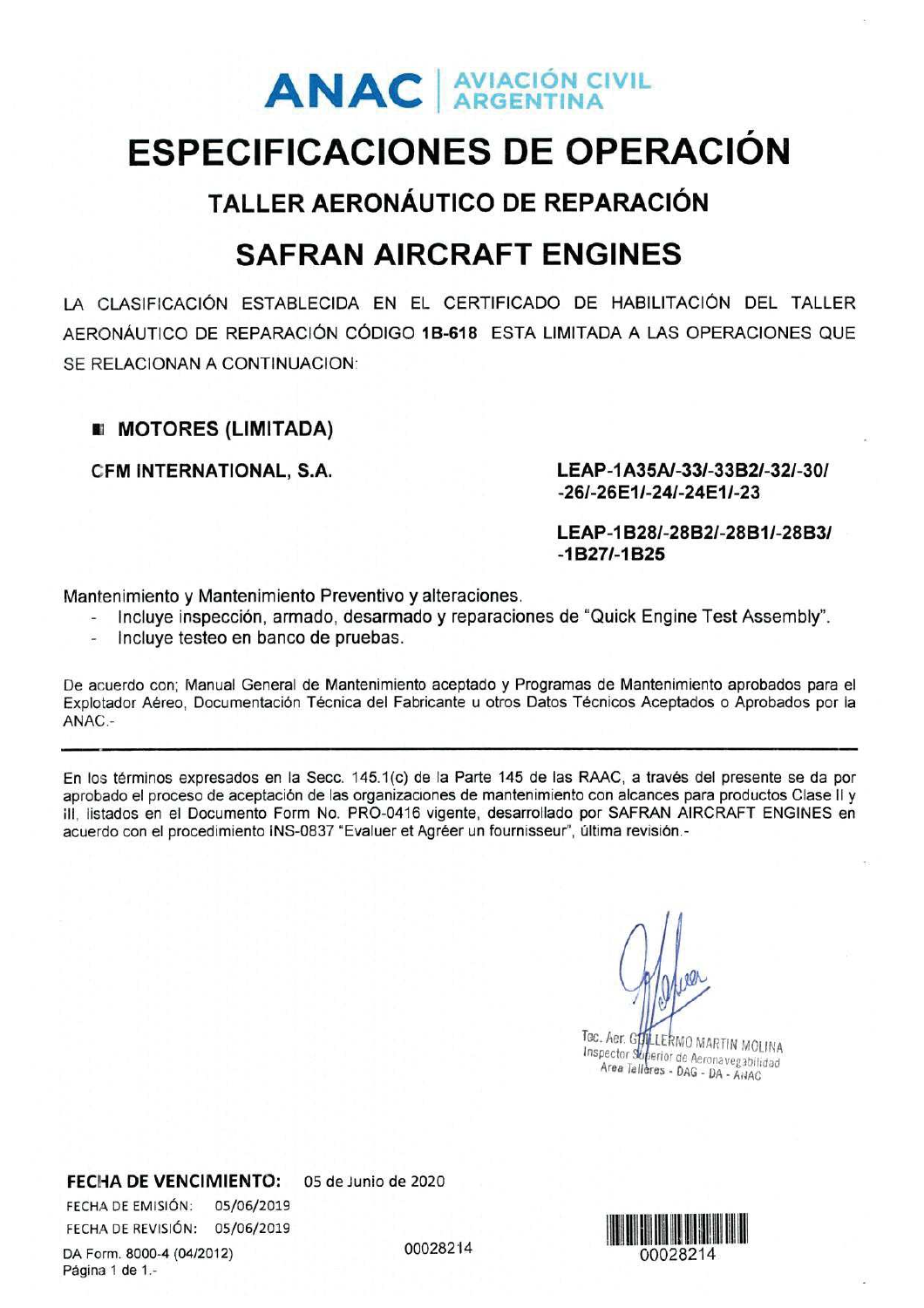# **ANAC** AVIACIÓN CIVIL

# **ESPECIFICACIONES DE OPERACIÓN**

**TALLER AERONÁUTICO DE REPARACIÓN** 

## **SAFRAN AIRCRAFT ENGINES**

LA CLASIFICACIÓN ESTABLECIDA EN EL CERTIFICADO DE HABILITACIÓN DEL TALLER AFRONÁUTICO DE REPARACIÓN CÓDIGO 1B-618 ESTA LIMITADA A LAS OPERACIONES QUE SE RELACIONAN A CONTINUACION:

### **EI MOTORES (LIMITADA)**

CFM INTERNATIONAL, S.A.

LEAP-1A35A/-33/-33B2/-32/-30/ -26/-26E1/-24/-24E1/-23

LEAP-1B28/-28B2/-28B1/-28B3/  $-1B27/ -1B25$ 

Mantenimiento y Mantenimiento Preventivo y alteraciones.

- Incluye inspección, armado, desarmado y reparaciones de "Quick Engine Test Assembly".
- Incluve testeo en banco de pruebas. Ξ

De acuerdo con; Manual General de Mantenimiento aceptado y Programas de Mantenimiento aprobados para el Explotador Aéreo. Documentación Técnica del Fabricante u otros Datos Técnicos Aceptados o Aprobados por la ANAC .-

En los términos expresados en la Secc. 145.1(c) de la Parte 145 de las RAAC, a través del presente se da por aprobado el proceso de aceptación de las organizaciones de mantenimiento con alcances para productos Clase II y III. listados en el Documento Form No. PRO-0416 vigente, desarrollado por SAFRAN AIRCRAFT ENGINES en acuerdo con el procedimiento INS-0837 "Evaluer et Agréer un fournisseur", última revisión.-

Tec. Aer. GHALLERMO MARTIN MOLINA Area Talleres - DAG - DA - ANAC

**FECHA DE VENCIMIENTO:** 

FECHA DE EMISIÓN: 05/06/2019 FECHA DE REVISIÓN: 05/06/2019

05 de Junio de 2020

00028214



DA Form. 8000-4 (04/2012) Página 1 de 1.-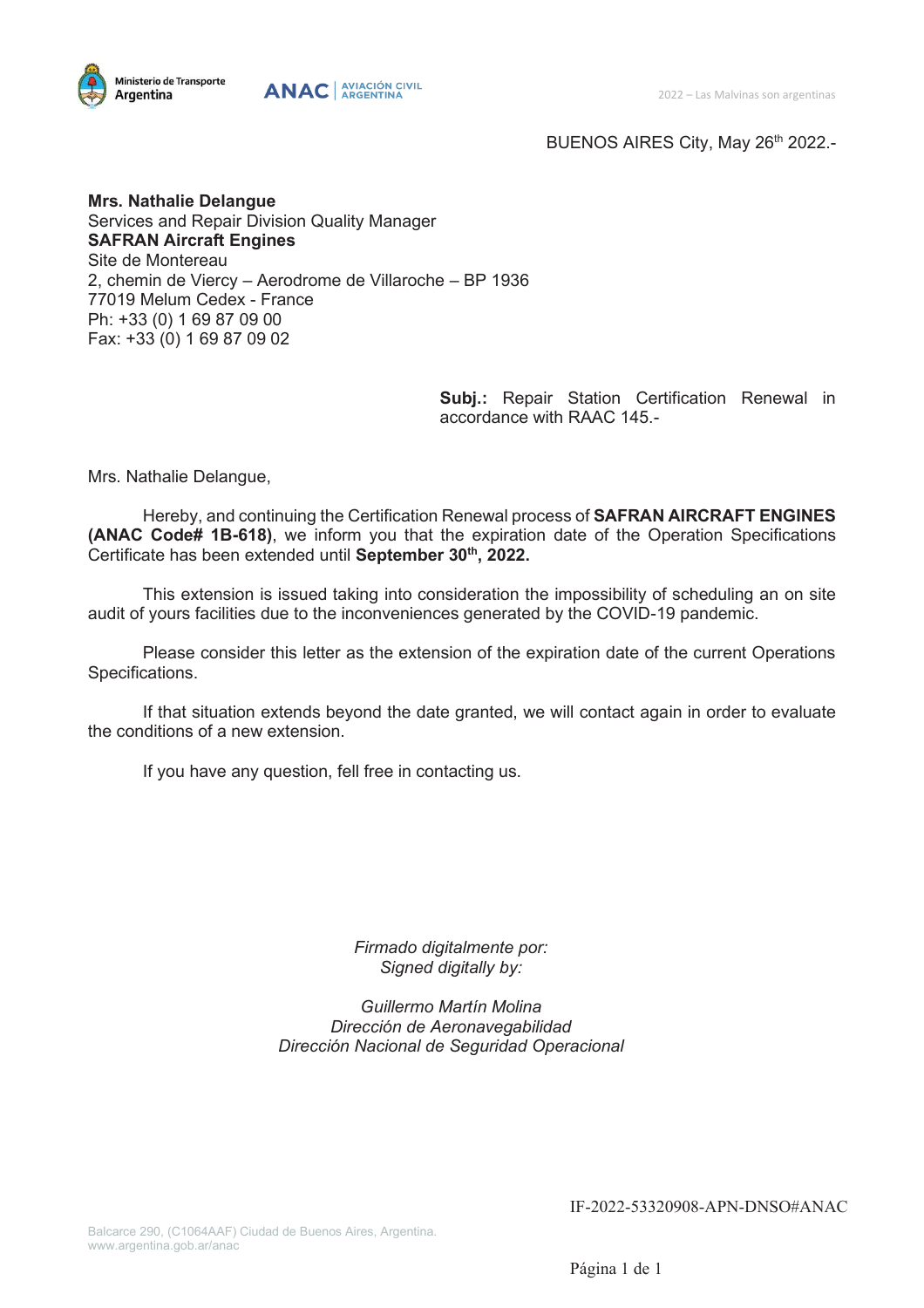



BUENOS AIRES City, May 26<sup>th</sup> 2022.-

**Mrs. Nathalie Delangue** Services and Repair Division Quality Manager **SAFRAN Aircraft Engines**  Site de Montereau 2, chemin de Viercy – Aerodrome de Villaroche – BP 1936 77019 Melum Cedex - France Ph: +33 (0) 1 69 87 09 00 Fax: +33 (0) 1 69 87 09 02

> **Subj.:** Repair Station Certification Renewal in accordance with RAAC 145.-

Mrs. Nathalie Delangue,

Hereby, and continuing the Certification Renewal process of **SAFRAN AIRCRAFT ENGINES (ANAC Code# 1B-618)**, we inform you that the expiration date of the Operation Specifications Certificate has been extended until **September 30th, 2022.**

This extension is issued taking into consideration the impossibility of scheduling an on site audit of yours facilities due to the inconveniences generated by the COVID-19 pandemic.

Please consider this letter as the extension of the expiration date of the current Operations Specifications.

If that situation extends beyond the date granted, we will contact again in order to evaluate the conditions of a new extension.

If you have any question, fell free in contacting us.

*Firmado digitalmente por: Signed digitally by:*

*Guillermo Martín Molina Dirección de Aeronavegabilidad Dirección Nacional de Seguridad Operacional*